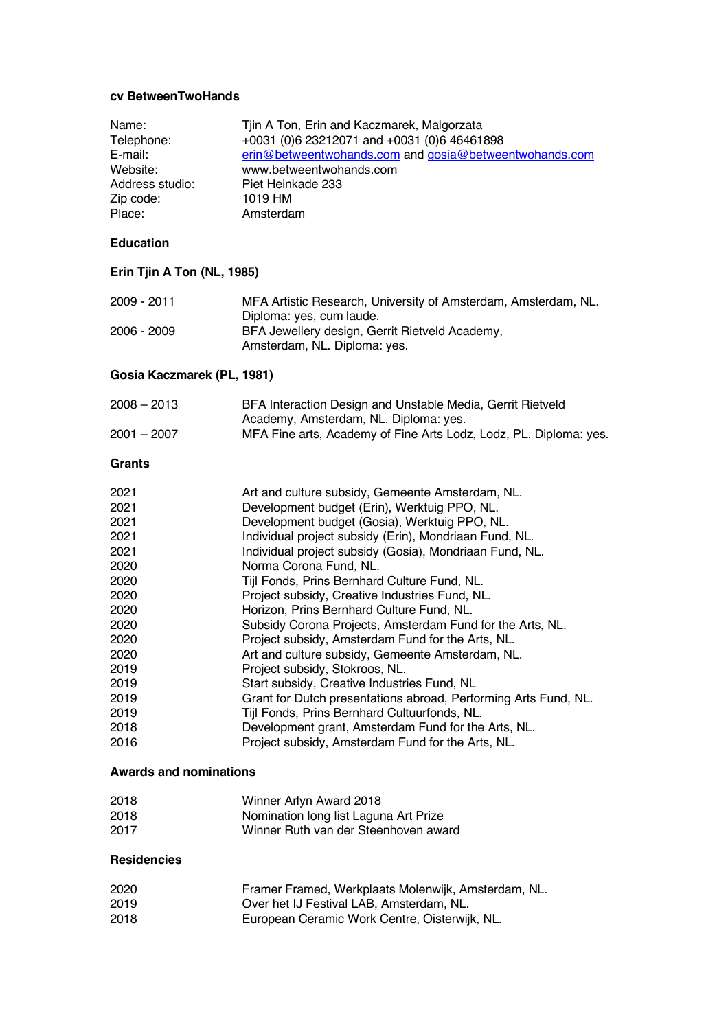#### **cv BetweenTwoHands**

| Name:<br>Telephone:<br>E-mail:<br>Website:<br>Address studio:<br>Zip code:<br>Place:                                                                                          | Tjin A Ton, Erin and Kaczmarek, Malgorzata<br>+0031 (0)6 23212071 and +0031 (0)6 46461898<br>erin@betweentwohands.com and gosia@betweentwohands.com<br>www.betweentwohands.com<br>Piet Heinkade 233<br>1019 HM<br>Amsterdam                                                                                                                                                                                                                                                                                                                                                                                                                                                                                                                                                                                                                                                                                                           |
|-------------------------------------------------------------------------------------------------------------------------------------------------------------------------------|---------------------------------------------------------------------------------------------------------------------------------------------------------------------------------------------------------------------------------------------------------------------------------------------------------------------------------------------------------------------------------------------------------------------------------------------------------------------------------------------------------------------------------------------------------------------------------------------------------------------------------------------------------------------------------------------------------------------------------------------------------------------------------------------------------------------------------------------------------------------------------------------------------------------------------------|
| <b>Education</b>                                                                                                                                                              |                                                                                                                                                                                                                                                                                                                                                                                                                                                                                                                                                                                                                                                                                                                                                                                                                                                                                                                                       |
| Erin Tjin A Ton (NL, 1985)                                                                                                                                                    |                                                                                                                                                                                                                                                                                                                                                                                                                                                                                                                                                                                                                                                                                                                                                                                                                                                                                                                                       |
| 2009 - 2011                                                                                                                                                                   | MFA Artistic Research, University of Amsterdam, Amsterdam, NL.<br>Diploma: yes, cum laude.                                                                                                                                                                                                                                                                                                                                                                                                                                                                                                                                                                                                                                                                                                                                                                                                                                            |
| 2006 - 2009                                                                                                                                                                   | BFA Jewellery design, Gerrit Rietveld Academy,<br>Amsterdam, NL. Diploma: yes.                                                                                                                                                                                                                                                                                                                                                                                                                                                                                                                                                                                                                                                                                                                                                                                                                                                        |
| Gosia Kaczmarek (PL, 1981)                                                                                                                                                    |                                                                                                                                                                                                                                                                                                                                                                                                                                                                                                                                                                                                                                                                                                                                                                                                                                                                                                                                       |
| $2008 - 2013$                                                                                                                                                                 | BFA Interaction Design and Unstable Media, Gerrit Rietveld<br>Academy, Amsterdam, NL. Diploma: yes.                                                                                                                                                                                                                                                                                                                                                                                                                                                                                                                                                                                                                                                                                                                                                                                                                                   |
| $2001 - 2007$                                                                                                                                                                 | MFA Fine arts, Academy of Fine Arts Lodz, Lodz, PL. Diploma: yes.                                                                                                                                                                                                                                                                                                                                                                                                                                                                                                                                                                                                                                                                                                                                                                                                                                                                     |
| <b>Grants</b>                                                                                                                                                                 |                                                                                                                                                                                                                                                                                                                                                                                                                                                                                                                                                                                                                                                                                                                                                                                                                                                                                                                                       |
| 2021<br>2021<br>2021<br>2021<br>2021<br>2020<br>2020<br>2020<br>2020<br>2020<br>2020<br>2020<br>2019<br>2019<br>2019<br>2019<br>2018<br>2016<br><b>Awards and nominations</b> | Art and culture subsidy, Gemeente Amsterdam, NL.<br>Development budget (Erin), Werktuig PPO, NL.<br>Development budget (Gosia), Werktuig PPO, NL.<br>Individual project subsidy (Erin), Mondriaan Fund, NL.<br>Individual project subsidy (Gosia), Mondriaan Fund, NL.<br>Norma Corona Fund, NL.<br>Tijl Fonds, Prins Bernhard Culture Fund, NL.<br>Project subsidy, Creative Industries Fund, NL.<br>Horizon, Prins Bernhard Culture Fund, NL.<br>Subsidy Corona Projects, Amsterdam Fund for the Arts, NL.<br>Project subsidy, Amsterdam Fund for the Arts, NL.<br>Art and culture subsidy, Gemeente Amsterdam, NL.<br>Project subsidy, Stokroos, NL.<br>Start subsidy, Creative Industries Fund, NL<br>Grant for Dutch presentations abroad, Performing Arts Fund, NL.<br>Tijl Fonds, Prins Bernhard Cultuurfonds, NL.<br>Development grant, Amsterdam Fund for the Arts, NL.<br>Project subsidy, Amsterdam Fund for the Arts, NL. |
| 2018                                                                                                                                                                          | Winner Arlyn Award 2018                                                                                                                                                                                                                                                                                                                                                                                                                                                                                                                                                                                                                                                                                                                                                                                                                                                                                                               |
| 2018<br>2017                                                                                                                                                                  | Nomination long list Laguna Art Prize<br>Winner Ruth van der Steenhoven award                                                                                                                                                                                                                                                                                                                                                                                                                                                                                                                                                                                                                                                                                                                                                                                                                                                         |
|                                                                                                                                                                               |                                                                                                                                                                                                                                                                                                                                                                                                                                                                                                                                                                                                                                                                                                                                                                                                                                                                                                                                       |

### **Residencies**

| 2020 | Framer Framed, Werkplaats Molenwijk, Amsterdam, NL. |
|------|-----------------------------------------------------|
| 2019 | Over het IJ Festival LAB, Amsterdam, NL.            |
| 2018 | European Ceramic Work Centre, Oisterwijk, NL.       |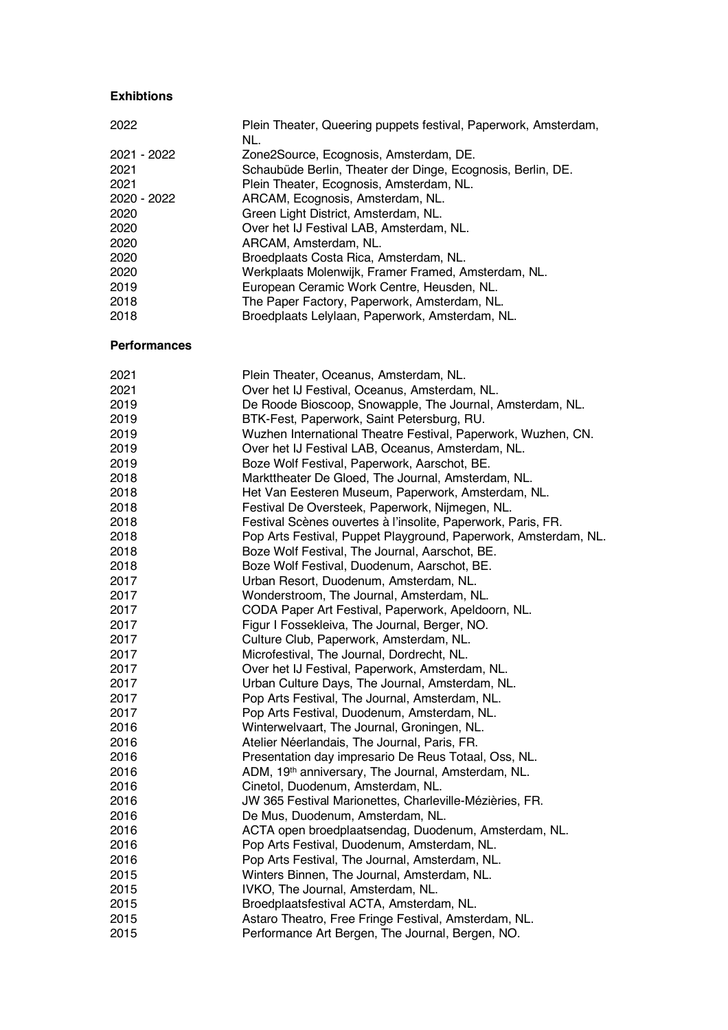### **Exhibtions**

| 2022        | Plein Theater, Queering puppets festival, Paperwork, Amsterdam,<br>NL. |
|-------------|------------------------------------------------------------------------|
| 2021 - 2022 | Zone2Source, Ecognosis, Amsterdam, DE.                                 |
| 2021        | Schaubüde Berlin, Theater der Dinge, Ecognosis, Berlin, DE.            |
| 2021        | Plein Theater, Ecognosis, Amsterdam, NL.                               |
| 2020 - 2022 | ARCAM, Ecognosis, Amsterdam, NL.                                       |
| 2020        | Green Light District, Amsterdam, NL.                                   |
| 2020        | Over het IJ Festival LAB, Amsterdam, NL.                               |
| 2020        | ARCAM, Amsterdam, NL.                                                  |
| 2020        | Broedplaats Costa Rica, Amsterdam, NL.                                 |
| 2020        | Werkplaats Molenwijk, Framer Framed, Amsterdam, NL.                    |
| 2019        | European Ceramic Work Centre, Heusden, NL.                             |
| 2018        | The Paper Factory, Paperwork, Amsterdam, NL.                           |
| 2018        | Broedplaats Lelylaan, Paperwork, Amsterdam, NL.                        |

## **Performances**

| 2021 | Plein Theater, Oceanus, Amsterdam, NL.                          |
|------|-----------------------------------------------------------------|
| 2021 | Over het IJ Festival, Oceanus, Amsterdam, NL.                   |
| 2019 | De Roode Bioscoop, Snowapple, The Journal, Amsterdam, NL.       |
| 2019 | BTK-Fest, Paperwork, Saint Petersburg, RU.                      |
| 2019 | Wuzhen International Theatre Festival, Paperwork, Wuzhen, CN.   |
| 2019 | Over het IJ Festival LAB, Oceanus, Amsterdam, NL.               |
| 2019 | Boze Wolf Festival, Paperwork, Aarschot, BE.                    |
| 2018 | Markttheater De Gloed, The Journal, Amsterdam, NL.              |
| 2018 | Het Van Eesteren Museum, Paperwork, Amsterdam, NL.              |
| 2018 | Festival De Oversteek, Paperwork, Nijmegen, NL.                 |
| 2018 | Festival Scènes ouvertes à l'insolite, Paperwork, Paris, FR.    |
| 2018 | Pop Arts Festival, Puppet Playground, Paperwork, Amsterdam, NL. |
| 2018 | Boze Wolf Festival, The Journal, Aarschot, BE.                  |
| 2018 | Boze Wolf Festival, Duodenum, Aarschot, BE.                     |
| 2017 | Urban Resort, Duodenum, Amsterdam, NL.                          |
| 2017 | Wonderstroom, The Journal, Amsterdam, NL.                       |
| 2017 | CODA Paper Art Festival, Paperwork, Apeldoorn, NL.              |
| 2017 | Figur I Fossekleiva, The Journal, Berger, NO.                   |
| 2017 | Culture Club, Paperwork, Amsterdam, NL.                         |
| 2017 | Microfestival, The Journal, Dordrecht, NL.                      |
| 2017 | Over het IJ Festival, Paperwork, Amsterdam, NL.                 |
| 2017 | Urban Culture Days, The Journal, Amsterdam, NL.                 |
| 2017 | Pop Arts Festival, The Journal, Amsterdam, NL.                  |
| 2017 | Pop Arts Festival, Duodenum, Amsterdam, NL.                     |
| 2016 | Winterwelvaart, The Journal, Groningen, NL.                     |
| 2016 | Atelier Néerlandais, The Journal, Paris, FR.                    |
| 2016 | Presentation day impresario De Reus Totaal, Oss, NL.            |
| 2016 | ADM, 19th anniversary, The Journal, Amsterdam, NL.              |
| 2016 | Cinetol, Duodenum, Amsterdam, NL.                               |
| 2016 | JW 365 Festival Marionettes, Charleville-Mézièries, FR.         |
| 2016 | De Mus, Duodenum, Amsterdam, NL.                                |
| 2016 | ACTA open broedplaatsendag, Duodenum, Amsterdam, NL.            |
| 2016 | Pop Arts Festival, Duodenum, Amsterdam, NL.                     |
| 2016 | Pop Arts Festival, The Journal, Amsterdam, NL.                  |
| 2015 | Winters Binnen, The Journal, Amsterdam, NL.                     |
| 2015 | IVKO, The Journal, Amsterdam, NL.                               |
| 2015 | Broedplaatsfestival ACTA, Amsterdam, NL.                        |
| 2015 | Astaro Theatro, Free Fringe Festival, Amsterdam, NL.            |
| 2015 | Performance Art Bergen, The Journal, Bergen, NO.                |